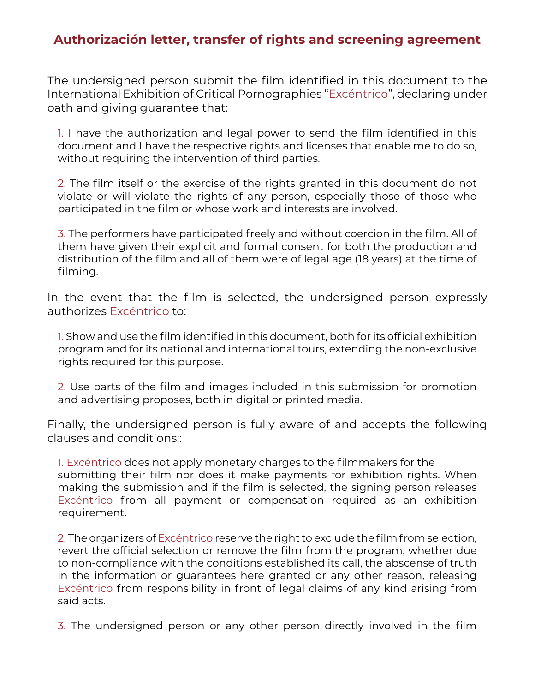## **Authorización letter, transfer of rights and screening agreement**

The undersigned person submit the film identified in this document to the International Exhibition of Critical Pornographies "Excéntrico", declaring under oath and giving guarantee that:

1. I have the authorization and legal power to send the film identified in this document and I have the respective rights and licenses that enable me to do so, without requiring the intervention of third parties.

2. The film itself or the exercise of the rights granted in this document do not violate or will violate the rights of any person, especially those of those who participated in the film or whose work and interests are involved.

3. The performers have participated freely and without coercion in the film. All of them have given their explicit and formal consent for both the production and distribution of the film and all of them were of legal age (18 years) at the time of filming.

In the event that the film is selected, the undersigned person expressly authorizes Excéntrico to:

1. Show and use the film identified in this document, both for its official exhibition program and for its national and international tours, extending the non-exclusive rights required for this purpose.

2. Use parts of the film and images included in this submission for promotion and advertising proposes, both in digital or printed media.

Finally, the undersigned person is fully aware of and accepts the following clauses and conditions::

1. Excéntrico does not apply monetary charges to the filmmakers for the submitting their film nor does it make payments for exhibition rights. When making the submission and if the film is selected, the signing person releases Excéntrico from all payment or compensation required as an exhibition requirement.

2. The organizers of Excéntrico reserve the right to exclude the film from selection, revert the official selection or remove the film from the program, whether due to non-compliance with the conditions established its call, the abscense of truth in the information or guarantees here granted or any other reason, releasing Excéntrico from responsibility in front of legal claims of any kind arising from said acts.

3. The undersigned person or any other person directly involved in the film